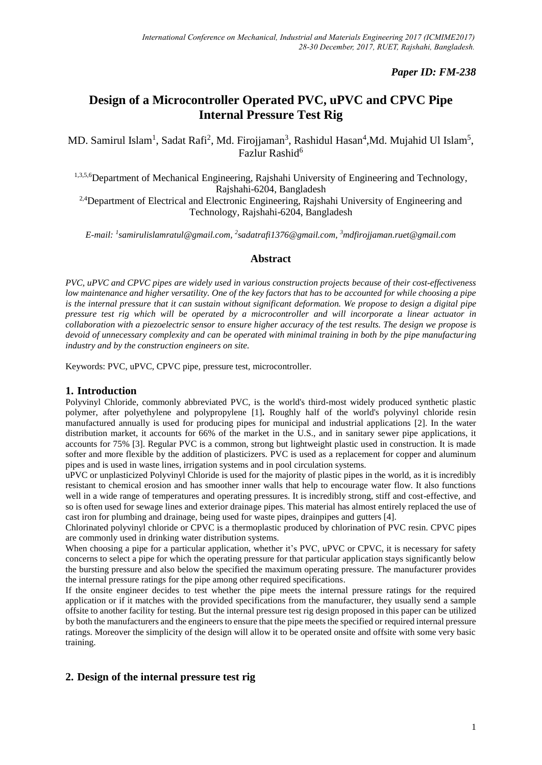# *Paper ID: FM-238*

# **Design of a Microcontroller Operated PVC, uPVC and CPVC Pipe Internal Pressure Test Rig**

MD. Samirul Islam<sup>1</sup>, Sadat Rafi<sup>2</sup>, Md. Firojjaman<sup>3</sup>, Rashidul Hasan<sup>4</sup>,Md. Mujahid Ul Islam<sup>5</sup>, Fazlur Rashid<sup>6</sup>

1,3,5,6Department of Mechanical Engineering, Rajshahi University of Engineering and Technology, Rajshahi-6204, Bangladesh

<sup>2,4</sup>Department of Electrical and Electronic Engineering, Rajshahi University of Engineering and Technology, Rajshahi-6204, Bangladesh

*E-mail: 1 [samirulislamratul@gmail.com,](mailto:1samirulislamratul@gmail.com)  2 [sadatrafi1376@gmail.com,](mailto:2sadatrafi1376@gmail.com) <sup>3</sup>mdfirojjaman.ruet@gmail.com*

### **Abstract**

*PVC, uPVC and CPVC pipes are widely used in various construction projects because of their cost-effectiveness low maintenance and higher versatility. One of the key factors that has to be accounted for while choosing a pipe is the internal pressure that it can sustain without significant deformation. We propose to design a digital pipe pressure test rig which will be operated by a microcontroller and will incorporate a linear actuator in collaboration with a piezoelectric sensor to ensure higher accuracy of the test results. The design we propose is devoid of unnecessary complexity and can be operated with minimal training in both by the pipe manufacturing industry and by the construction engineers on site.*

Keywords: PVC, uPVC, CPVC pipe, pressure test, microcontroller.

### **1. Introduction**

Polyvinyl Chloride, commonly abbreviated PVC, is the world's third-most widely produced synthetic plastic polymer, after polyethylene and polypropylene [1]**.** Roughly half of the world's polyvinyl chloride resin manufactured annually is used for producing pipes for municipal and industrial applications [2]. In the water distribution market, it accounts for 66% of the market in the U.S., and in sanitary sewer pipe applications, it accounts for 75% [3]. Regular PVC is a common, strong but lightweight plastic used in construction. It is made softer and more flexible by the addition of plasticizers. PVC is used as a replacement for copper and aluminum pipes and is used in waste lines, irrigation systems and in pool circulation systems.

uPVC or unplasticized Polyvinyl Chloride is used for the majority of plastic pipes in the world, as it is incredibly resistant to chemical erosion and has smoother inner walls that help to encourage water flow. It also functions well in a wide range of temperatures and operating pressures. It is incredibly strong, stiff and cost-effective, and so is often used for sewage lines and exterior drainage pipes. This material has almost entirely replaced the use of cast iron for plumbing and drainage, being used for waste pipes, drainpipes and gutters [4].

Chlorinated polyvinyl chloride or CPVC is a thermoplastic produced by chlorination of PVC resin. CPVC pipes are commonly used in drinking water distribution systems.

When choosing a pipe for a particular application, whether it's PVC, uPVC or CPVC, it is necessary for safety concerns to select a pipe for which the operating pressure for that particular application stays significantly below the bursting pressure and also below the specified the maximum operating pressure. The manufacturer provides the internal pressure ratings for the pipe among other required specifications.

If the onsite engineer decides to test whether the pipe meets the internal pressure ratings for the required application or if it matches with the provided specifications from the manufacturer, they usually send a sample offsite to another facility for testing. But the internal pressure test rig design proposed in this paper can be utilized by both the manufacturers and the engineers to ensure that the pipe meets the specified or required internal pressure ratings. Moreover the simplicity of the design will allow it to be operated onsite and offsite with some very basic training.

### **2. Design of the internal pressure test rig**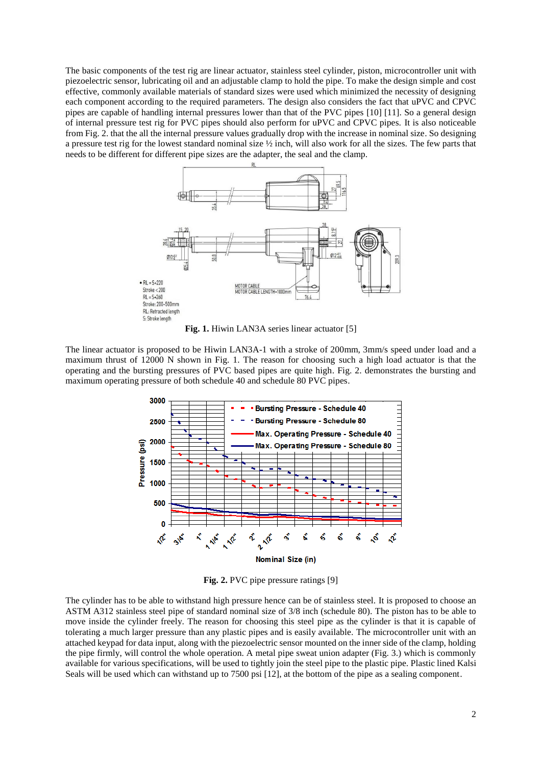The basic components of the test rig are linear actuator, stainless steel cylinder, piston, microcontroller unit with piezoelectric sensor, lubricating oil and an adjustable clamp to hold the pipe. To make the design simple and cost effective, commonly available materials of standard sizes were used which minimized the necessity of designing each component according to the required parameters. The design also considers the fact that uPVC and CPVC pipes are capable of handling internal pressures lower than that of the PVC pipes [10] [11]. So a general design of internal pressure test rig for PVC pipes should also perform for uPVC and CPVC pipes. It is also noticeable from Fig. 2. that the all the internal pressure values gradually drop with the increase in nominal size. So designing a pressure test rig for the lowest standard nominal size  $\frac{1}{2}$  inch, will also work for all the sizes. The few parts that needs to be different for different pipe sizes are the adapter, the seal and the clamp.



**Fig. 1.** Hiwin LAN3A series linear actuator [5]

The linear actuator is proposed to be Hiwin LAN3A-1 with a stroke of 200mm, 3mm/s speed under load and a maximum thrust of 12000 N shown in Fig. 1. The reason for choosing such a high load actuator is that the operating and the bursting pressures of PVC based pipes are quite high. Fig. 2. demonstrates the bursting and maximum operating pressure of both schedule 40 and schedule 80 PVC pipes.



Fig. 2. PVC pipe pressure ratings [9]

The cylinder has to be able to withstand high pressure hence can be of stainless steel. It is proposed to choose an ASTM A312 stainless steel pipe of standard nominal size of 3/8 inch (schedule 80). The piston has to be able to move inside the cylinder freely. The reason for choosing this steel pipe as the cylinder is that it is capable of tolerating a much larger pressure than any plastic pipes and is easily available. The microcontroller unit with an attached keypad for data input, along with the piezoelectric sensor mounted on the inner side of the clamp, holding the pipe firmly, will control the whole operation. A metal pipe sweat union adapter (Fig. 3.) which is commonly available for various specifications, will be used to tightly join the steel pipe to the plastic pipe. Plastic lined Kalsi Seals will be used which can withstand up to 7500 psi [12], at the bottom of the pipe as a sealing component.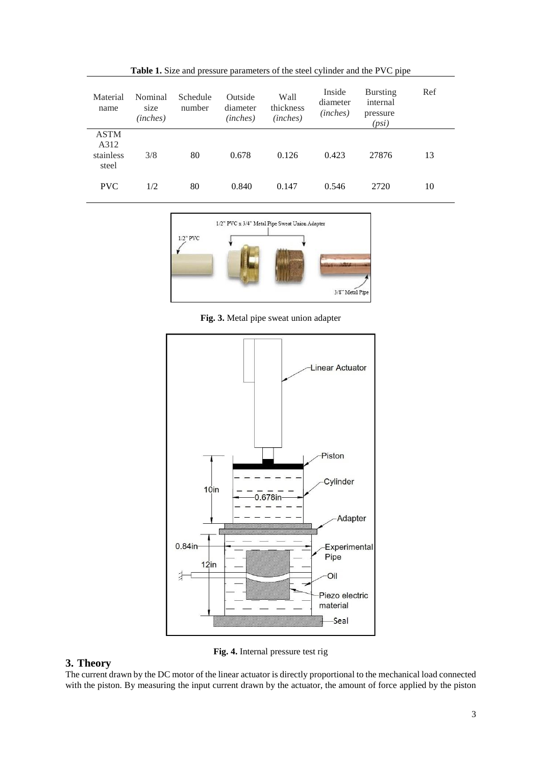| Material<br>name                          | Nominal<br>size<br>(inches) | Schedule<br>number | Outside<br>diameter<br>(inches) | Wall<br>thickness<br>(inches) | Inside<br>diameter<br>(inches) | <b>Bursting</b><br>internal<br>pressure<br>(psi) | Ref |
|-------------------------------------------|-----------------------------|--------------------|---------------------------------|-------------------------------|--------------------------------|--------------------------------------------------|-----|
| <b>ASTM</b><br>A312<br>stainless<br>steel | 3/8                         | 80                 | 0.678                           | 0.126                         | 0.423                          | 27876                                            | 13  |
| <b>PVC</b>                                | 1/2                         | 80                 | 0.840                           | 0.147                         | 0.546                          | 2720                                             | 10  |

**Table 1.** Size and pressure parameters of the steel cylinder and the PVC pipe



**Fig. 3.** Metal pipe sweat union adapter



**Fig. 4.** Internal pressure test rig

# **3. Theory**

The current drawn by the DC motor of the linear actuator is directly proportional to the mechanical load connected with the piston. By measuring the input current drawn by the actuator, the amount of force applied by the piston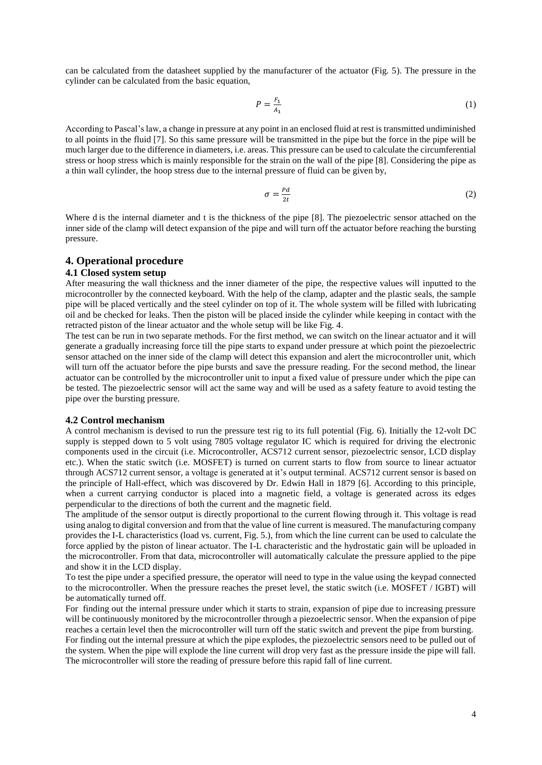can be calculated from the datasheet supplied by the manufacturer of the actuator (Fig. 5). The pressure in the cylinder can be calculated from the basic equation,

$$
P = \frac{F_1}{A_1} \tag{1}
$$

According to Pascal's law, a change in pressure at any point in an enclosed fluid at rest is transmitted undiminished to all points in the fluid [7]. So this same pressure will be transmitted in the pipe but the force in the pipe will be much larger due to the difference in diameters, i.e. areas. This pressure can be used to calculate the circumferential stress or hoop stress which is mainly responsible for the strain on the wall of the pipe [8]. Considering the pipe as a thin wall cylinder, the hoop stress due to the internal pressure of fluid can be given by,

$$
\sigma = \frac{Pd}{2t} \tag{2}
$$

Where d is the internal diameter and t is the thickness of the pipe [8]. The piezoelectric sensor attached on the inner side of the clamp will detect expansion of the pipe and will turn off the actuator before reaching the bursting pressure.

#### **4. Operational procedure**

#### **4.1 Closed system setup**

After measuring the wall thickness and the inner diameter of the pipe, the respective values will inputted to the microcontroller by the connected keyboard. With the help of the clamp, adapter and the plastic seals, the sample pipe will be placed vertically and the steel cylinder on top of it. The whole system will be filled with lubricating oil and be checked for leaks. Then the piston will be placed inside the cylinder while keeping in contact with the retracted piston of the linear actuator and the whole setup will be like Fig. 4.

The test can be run in two separate methods. For the first method, we can switch on the linear actuator and it will generate a gradually increasing force till the pipe starts to expand under pressure at which point the piezoelectric sensor attached on the inner side of the clamp will detect this expansion and alert the microcontroller unit, which will turn off the actuator before the pipe bursts and save the pressure reading. For the second method, the linear actuator can be controlled by the microcontroller unit to input a fixed value of pressure under which the pipe can be tested. The piezoelectric sensor will act the same way and will be used as a safety feature to avoid testing the pipe over the bursting pressure.

#### **4.2 Control mechanism**

A control mechanism is devised to run the pressure test rig to its full potential (Fig. 6). Initially the 12-volt DC supply is stepped down to 5 volt using 7805 voltage regulator IC which is required for driving the electronic components used in the circuit (i.e. Microcontroller, ACS712 current sensor, piezoelectric sensor, LCD display etc.). When the static switch (i.e. MOSFET) is turned on current starts to flow from source to linear actuator through ACS712 current sensor, a voltage is generated at it's output terminal. ACS712 current sensor is based on the principle of Hall-effect, which was discovered by Dr. Edwin Hall in 1879 [6]. According to this principle, when a current carrying conductor is placed into a magnetic field, a voltage is generated across its edges perpendicular to the directions of both the current and the magnetic field.

The amplitude of the sensor output is directly proportional to the current flowing through it. This voltage is read using analog to digital conversion and from that the value of line current is measured. The manufacturing company provides the I-L characteristics (load vs. current, Fig. 5.), from which the line current can be used to calculate the force applied by the piston of linear actuator. The I-L characteristic and the hydrostatic gain will be uploaded in the microcontroller. From that data, microcontroller will automatically calculate the pressure applied to the pipe and show it in the LCD display.

To test the pipe under a specified pressure, the operator will need to type in the value using the keypad connected to the microcontroller. When the pressure reaches the preset level, the static switch (i.e. MOSFET / IGBT) will be automatically turned off.

For finding out the internal pressure under which it starts to strain, expansion of pipe due to increasing pressure will be continuously monitored by the microcontroller through a piezoelectric sensor. When the expansion of pipe reaches a certain level then the microcontroller will turn off the static switch and prevent the pipe from bursting. For finding out the internal pressure at which the pipe explodes, the piezoelectric sensors need to be pulled out of the system. When the pipe will explode the line current will drop very fast as the pressure inside the pipe will fall.

The microcontroller will store the reading of pressure before this rapid fall of line current.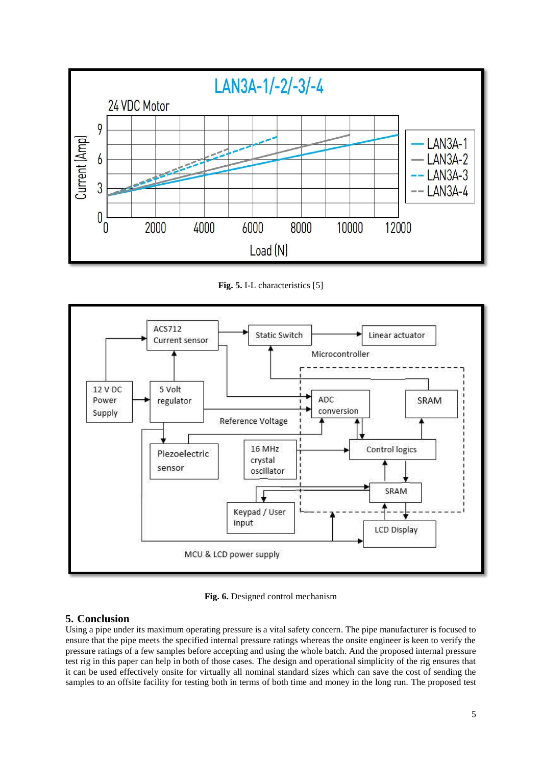

**Fig. 5.** I-L characteristics [5]



**Fig. 6.** Designed control mechanism

# **5. Conclusion**

Using a pipe under its maximum operating pressure is a vital safety concern. The pipe manufacturer is focused to ensure that the pipe meets the specified internal pressure ratings whereas the onsite engineer is keen to verify the pressure ratings of a few samples before accepting and using the whole batch. And the proposed internal pressure test rig in this paper can help in both of those cases. The design and operational simplicity of the rig ensures that it can be used effectively onsite for virtually all nominal standard sizes which can save the cost of sending the samples to an offsite facility for testing both in terms of both time and money in the long run. The proposed test